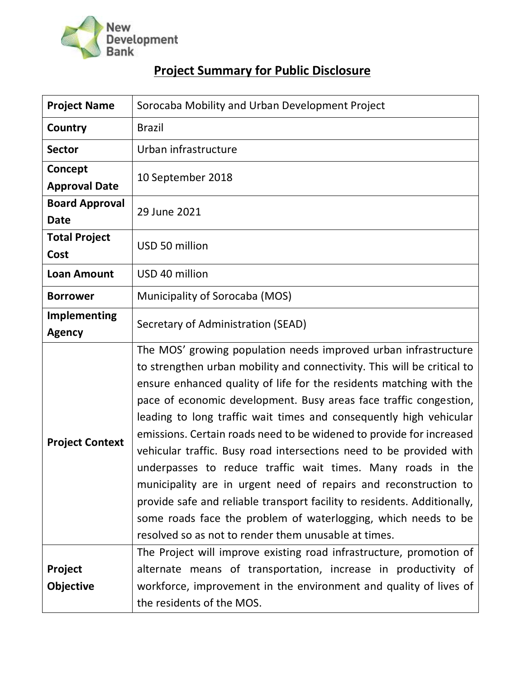

## **Project Summary for Public Disclosure**

| <b>Project Name</b>                  | Sorocaba Mobility and Urban Development Project                                                                                                                                                                                                                                                                                                                                                                                                                                                                                                                                                                                                                                                                                                                                                                                                      |  |  |  |
|--------------------------------------|------------------------------------------------------------------------------------------------------------------------------------------------------------------------------------------------------------------------------------------------------------------------------------------------------------------------------------------------------------------------------------------------------------------------------------------------------------------------------------------------------------------------------------------------------------------------------------------------------------------------------------------------------------------------------------------------------------------------------------------------------------------------------------------------------------------------------------------------------|--|--|--|
| Country                              | <b>Brazil</b>                                                                                                                                                                                                                                                                                                                                                                                                                                                                                                                                                                                                                                                                                                                                                                                                                                        |  |  |  |
| <b>Sector</b>                        | Urban infrastructure                                                                                                                                                                                                                                                                                                                                                                                                                                                                                                                                                                                                                                                                                                                                                                                                                                 |  |  |  |
| Concept<br><b>Approval Date</b>      | 10 September 2018                                                                                                                                                                                                                                                                                                                                                                                                                                                                                                                                                                                                                                                                                                                                                                                                                                    |  |  |  |
| <b>Board Approval</b><br><b>Date</b> | 29 June 2021                                                                                                                                                                                                                                                                                                                                                                                                                                                                                                                                                                                                                                                                                                                                                                                                                                         |  |  |  |
| <b>Total Project</b><br>Cost         | USD 50 million                                                                                                                                                                                                                                                                                                                                                                                                                                                                                                                                                                                                                                                                                                                                                                                                                                       |  |  |  |
| <b>Loan Amount</b>                   | USD 40 million                                                                                                                                                                                                                                                                                                                                                                                                                                                                                                                                                                                                                                                                                                                                                                                                                                       |  |  |  |
| <b>Borrower</b>                      | Municipality of Sorocaba (MOS)                                                                                                                                                                                                                                                                                                                                                                                                                                                                                                                                                                                                                                                                                                                                                                                                                       |  |  |  |
| Implementing<br><b>Agency</b>        | Secretary of Administration (SEAD)                                                                                                                                                                                                                                                                                                                                                                                                                                                                                                                                                                                                                                                                                                                                                                                                                   |  |  |  |
| <b>Project Context</b>               | The MOS' growing population needs improved urban infrastructure<br>to strengthen urban mobility and connectivity. This will be critical to<br>ensure enhanced quality of life for the residents matching with the<br>pace of economic development. Busy areas face traffic congestion,<br>leading to long traffic wait times and consequently high vehicular<br>emissions. Certain roads need to be widened to provide for increased<br>vehicular traffic. Busy road intersections need to be provided with<br>underpasses to reduce traffic wait times. Many roads in the<br>municipality are in urgent need of repairs and reconstruction to<br>provide safe and reliable transport facility to residents. Additionally,<br>some roads face the problem of waterlogging, which needs to be<br>resolved so as not to render them unusable at times. |  |  |  |
| Project<br><b>Objective</b>          | The Project will improve existing road infrastructure, promotion of<br>alternate means of transportation, increase in productivity of<br>workforce, improvement in the environment and quality of lives of<br>the residents of the MOS.                                                                                                                                                                                                                                                                                                                                                                                                                                                                                                                                                                                                              |  |  |  |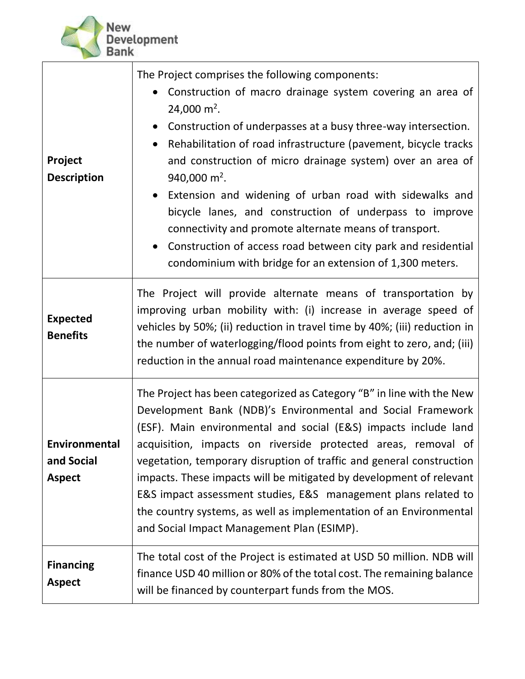

| Project<br><b>Description</b>                | The Project comprises the following components:<br>Construction of macro drainage system covering an area of<br>24,000 m <sup>2</sup> .<br>• Construction of underpasses at a busy three-way intersection.<br>Rehabilitation of road infrastructure (pavement, bicycle tracks<br>$\bullet$<br>and construction of micro drainage system) over an area of<br>940,000 $m^2$ .<br>Extension and widening of urban road with sidewalks and<br>bicycle lanes, and construction of underpass to improve<br>connectivity and promote alternate means of transport.<br>• Construction of access road between city park and residential<br>condominium with bridge for an extension of 1,300 meters. |  |  |
|----------------------------------------------|---------------------------------------------------------------------------------------------------------------------------------------------------------------------------------------------------------------------------------------------------------------------------------------------------------------------------------------------------------------------------------------------------------------------------------------------------------------------------------------------------------------------------------------------------------------------------------------------------------------------------------------------------------------------------------------------|--|--|
| <b>Expected</b><br><b>Benefits</b>           | The Project will provide alternate means of transportation by<br>improving urban mobility with: (i) increase in average speed of<br>vehicles by 50%; (ii) reduction in travel time by 40%; (iii) reduction in<br>the number of waterlogging/flood points from eight to zero, and; (iii)<br>reduction in the annual road maintenance expenditure by 20%.                                                                                                                                                                                                                                                                                                                                     |  |  |
| Environmental<br>and Social<br><b>Aspect</b> | The Project has been categorized as Category "B" in line with the New<br>Development Bank (NDB)'s Environmental and Social Framework<br>(ESF). Main environmental and social (E&S) impacts include land<br>acquisition, impacts on riverside protected areas, removal of<br>vegetation, temporary disruption of traffic and general construction<br>impacts. These impacts will be mitigated by development of relevant<br>E&S impact assessment studies, E&S management plans related to<br>the country systems, as well as implementation of an Environmental<br>and Social Impact Management Plan (ESIMP).                                                                               |  |  |
| <b>Financing</b><br><b>Aspect</b>            | The total cost of the Project is estimated at USD 50 million. NDB will<br>finance USD 40 million or 80% of the total cost. The remaining balance<br>will be financed by counterpart funds from the MOS.                                                                                                                                                                                                                                                                                                                                                                                                                                                                                     |  |  |